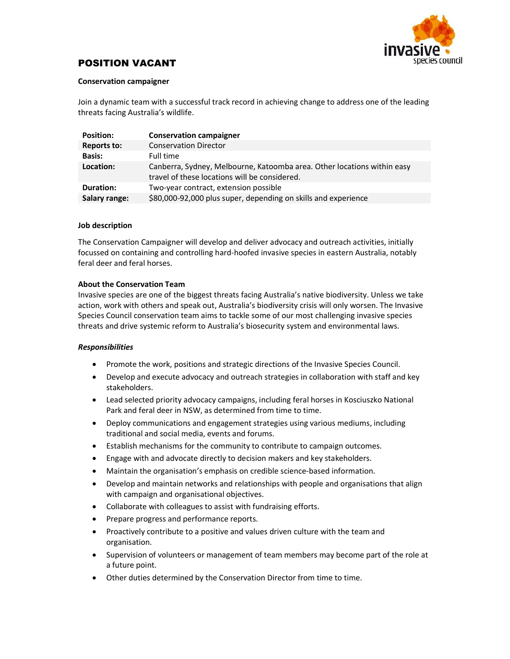

# POSITION VACANT

#### Conservation campaigner

Join a dynamic team with a successful track record in achieving change to address one of the leading threats facing Australia's wildlife.

| <b>Position:</b>   | <b>Conservation campaigner</b>                                                                                           |
|--------------------|--------------------------------------------------------------------------------------------------------------------------|
| <b>Reports to:</b> | <b>Conservation Director</b>                                                                                             |
| <b>Basis:</b>      | Full time                                                                                                                |
| Location:          | Canberra, Sydney, Melbourne, Katoomba area. Other locations within easy<br>travel of these locations will be considered. |
| <b>Duration:</b>   | Two-year contract, extension possible                                                                                    |
| Salary range:      | \$80,000-92,000 plus super, depending on skills and experience                                                           |

#### Job description

The Conservation Campaigner will develop and deliver advocacy and outreach activities, initially focussed on containing and controlling hard-hoofed invasive species in eastern Australia, notably feral deer and feral horses.

### About the Conservation Team

Invasive species are one of the biggest threats facing Australia's native biodiversity. Unless we take action, work with others and speak out, Australia's biodiversity crisis will only worsen. The Invasive Species Council conservation team aims to tackle some of our most challenging invasive species threats and drive systemic reform to Australia's biosecurity system and environmental laws.

### Responsibilities

- Promote the work, positions and strategic directions of the Invasive Species Council.
- Develop and execute advocacy and outreach strategies in collaboration with staff and key stakeholders.
- Lead selected priority advocacy campaigns, including feral horses in Kosciuszko National Park and feral deer in NSW, as determined from time to time.
- Deploy communications and engagement strategies using various mediums, including traditional and social media, events and forums.
- Establish mechanisms for the community to contribute to campaign outcomes.
- Engage with and advocate directly to decision makers and key stakeholders.
- Maintain the organisation's emphasis on credible science-based information.
- Develop and maintain networks and relationships with people and organisations that align with campaign and organisational objectives.
- Collaborate with colleagues to assist with fundraising efforts.
- Prepare progress and performance reports.
- Proactively contribute to a positive and values driven culture with the team and organisation.
- Supervision of volunteers or management of team members may become part of the role at a future point.
- Other duties determined by the Conservation Director from time to time.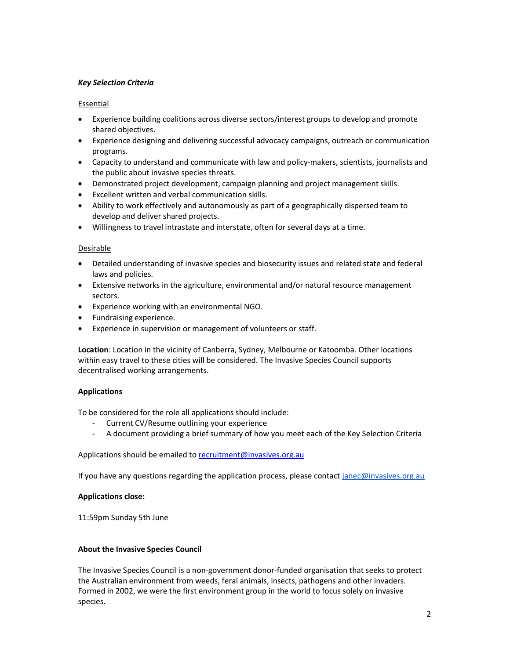## Key Selection Criteria

### Essential

- Experience building coalitions across diverse sectors/interest groups to develop and promote shared objectives.
- Experience designing and delivering successful advocacy campaigns, outreach or communication programs.
- Capacity to understand and communicate with law and policy-makers, scientists, journalists and the public about invasive species threats.
- Demonstrated project development, campaign planning and project management skills.
- Excellent written and verbal communication skills.
- Ability to work effectively and autonomously as part of a geographically dispersed team to develop and deliver shared projects.
- Willingness to travel intrastate and interstate, often for several days at a time.

### Desirable

- Detailed understanding of invasive species and biosecurity issues and related state and federal laws and policies.
- Extensive networks in the agriculture, environmental and/or natural resource management sectors.
- Experience working with an environmental NGO.
- Fundraising experience.
- Experience in supervision or management of volunteers or staff.

Location: Location in the vicinity of Canberra, Sydney, Melbourne or Katoomba. Other locations within easy travel to these cities will be considered. The Invasive Species Council supports decentralised working arrangements.

# Applications

To be considered for the role all applications should include:

- Current CV/Resume outlining your experience
- A document providing a brief summary of how you meet each of the Key Selection Criteria

Applications should be emailed to recruitment@invasives.org.au

If you have any questions regarding the application process, please contact janec@invasives.org.au

### Applications close:

11:59pm Sunday 5th June

### About the Invasive Species Council

The Invasive Species Council is a non-government donor-funded organisation that seeks to protect the Australian environment from weeds, feral animals, insects, pathogens and other invaders. Formed in 2002, we were the first environment group in the world to focus solely on invasive species.